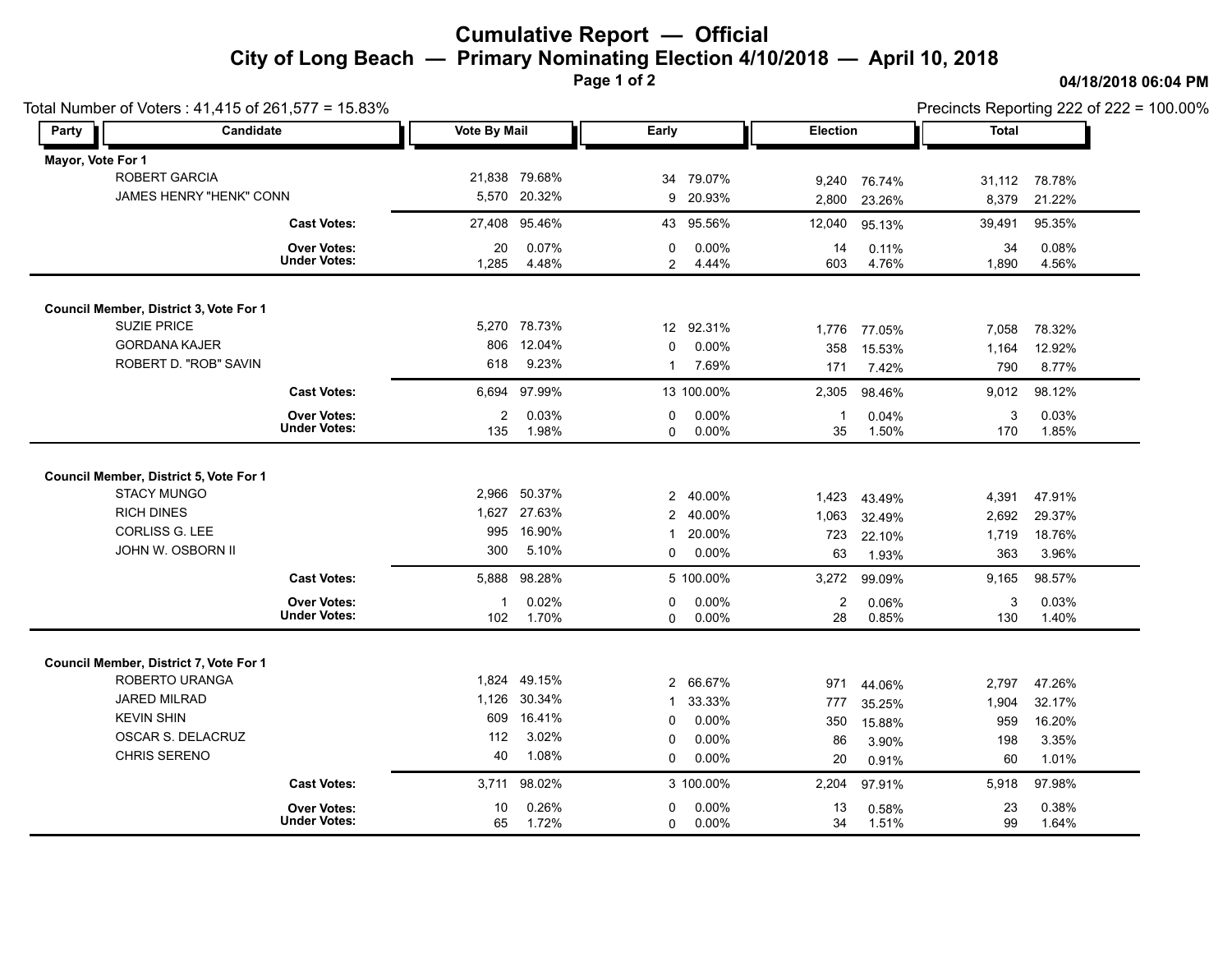## **Cumulative Report — Official City of Long Beach — Primary Nominating Election 4/10/2018 — April 10, 2018**

**Page 1 of 2**

**04/18/2018 06:04 PM**

| Total Number of Voters: 41,415 of 261,577 = 15.83% |                                |                     |               |                |            |                 | Precincts Reporting 222 of 222 = 100.00% |              |        |
|----------------------------------------------------|--------------------------------|---------------------|---------------|----------------|------------|-----------------|------------------------------------------|--------------|--------|
| Party                                              | Candidate                      | <b>Vote By Mail</b> |               | Early          |            | <b>Election</b> |                                          | <b>Total</b> |        |
| Mayor, Vote For 1                                  |                                |                     |               |                |            |                 |                                          |              |        |
|                                                    | ROBERT GARCIA                  |                     | 21,838 79.68% | 34             | 79.07%     | 9,240           | 76.74%                                   | 31,112       | 78.78% |
|                                                    | <b>JAMES HENRY "HENK" CONN</b> |                     | 5,570 20.32%  |                | 9 20.93%   | 2,800           | 23.26%                                   | 8,379        | 21.22% |
|                                                    | <b>Cast Votes:</b>             |                     | 27,408 95.46% |                | 43 95.56%  | 12,040          | 95.13%                                   | 39,491       | 95.35% |
|                                                    | <b>Over Votes:</b>             | 20                  | 0.07%         | $\mathbf 0$    | 0.00%      | 14              | 0.11%                                    | 34           | 0.08%  |
|                                                    | <b>Under Votes:</b>            | 1,285               | 4.48%         | $\overline{2}$ | 4.44%      | 603             | 4.76%                                    | 1,890        | 4.56%  |
| Council Member, District 3, Vote For 1             |                                |                     |               |                |            |                 |                                          |              |        |
| <b>SUZIE PRICE</b>                                 |                                |                     | 5,270 78.73%  |                | 12 92.31%  |                 |                                          |              | 78.32% |
| <b>GORDANA KAJER</b>                               |                                | 806                 | 12.04%        | 0              | 0.00%      | 1,776           | 77.05%                                   | 7,058        |        |
| ROBERT D. "ROB" SAVIN                              |                                | 618                 | 9.23%         | $\mathbf{1}$   | 7.69%      | 358             | 15.53%                                   | 1,164        | 12.92% |
|                                                    |                                |                     |               |                |            | 171             | 7.42%                                    | 790          | 8.77%  |
|                                                    | <b>Cast Votes:</b>             | 6,694               | 97.99%        |                | 13 100.00% | 2,305           | 98.46%                                   | 9,012        | 98.12% |
|                                                    | <b>Over Votes:</b>             | $\overline{2}$      | 0.03%         | 0              | 0.00%      | -1              | 0.04%                                    | 3            | 0.03%  |
|                                                    | <b>Under Votes:</b>            | 135                 | 1.98%         | $\mathbf 0$    | 0.00%      | 35              | 1.50%                                    | 170          | 1.85%  |
|                                                    |                                |                     |               |                |            |                 |                                          |              |        |
| Council Member, District 5, Vote For 1             |                                |                     |               |                |            |                 |                                          |              |        |
| <b>STACY MUNGO</b>                                 |                                |                     | 2,966 50.37%  |                | 2 40.00%   | 1,423           | 43.49%                                   | 4,391        | 47.91% |
| <b>RICH DINES</b>                                  |                                |                     | 1,627 27.63%  | $2^{\circ}$    | 40.00%     | 1,063           | 32.49%                                   | 2,692        | 29.37% |
| <b>CORLISS G. LEE</b>                              |                                | 995                 | 16.90%        | $\mathbf{1}$   | 20.00%     | 723             | 22.10%                                   | 1,719        | 18.76% |
| JOHN W. OSBORN II                                  |                                | 300                 | 5.10%         | 0              | 0.00%      | 63              | 1.93%                                    | 363          | 3.96%  |
|                                                    | <b>Cast Votes:</b>             | 5,888               | 98.28%        |                | 5 100.00%  | 3,272           | 99.09%                                   | 9,165        | 98.57% |
|                                                    | <b>Over Votes:</b>             | -1                  | 0.02%         | 0              | 0.00%      | $\overline{2}$  | 0.06%                                    | 3            | 0.03%  |
|                                                    | <b>Under Votes:</b>            | 102                 | 1.70%         | $\Omega$       | $0.00\%$   | 28              | 0.85%                                    | 130          | 1.40%  |
|                                                    |                                |                     |               |                |            |                 |                                          |              |        |
| Council Member, District 7, Vote For 1             |                                |                     |               |                |            |                 |                                          |              |        |
| ROBERTO URANGA                                     |                                |                     | 1,824 49.15%  |                | 2 66.67%   | 971             | 44.06%                                   | 2,797        | 47.26% |
| JARED MILRAD                                       |                                | 1,126               | 30.34%        | $\mathbf{1}$   | 33.33%     | 777             | 35.25%                                   | 1,904        | 32.17% |
| <b>KEVIN SHIN</b>                                  |                                | 609                 | 16.41%        | 0              | 0.00%      | 350             | 15.88%                                   | 959          | 16.20% |
| OSCAR S. DELACRUZ                                  |                                | 112                 | 3.02%         | 0              | $0.00\%$   | 86              | 3.90%                                    | 198          | 3.35%  |
| <b>CHRIS SERENO</b>                                |                                | 40                  | 1.08%         | $\mathbf 0$    | 0.00%      | 20              | 0.91%                                    | 60           | 1.01%  |
|                                                    | <b>Cast Votes:</b>             |                     | 3,711 98.02%  |                | 3 100.00%  | 2,204           | 97.91%                                   | 5,918        | 97.98% |
|                                                    | <b>Over Votes:</b>             | 10                  | 0.26%         | $\Omega$       | 0.00%      | 13              | 0.58%                                    | 23           | 0.38%  |
|                                                    | <b>Under Votes:</b>            | 65                  | 1.72%         | 0              | $0.00\%$   | 34              | 1.51%                                    | 99           | 1.64%  |